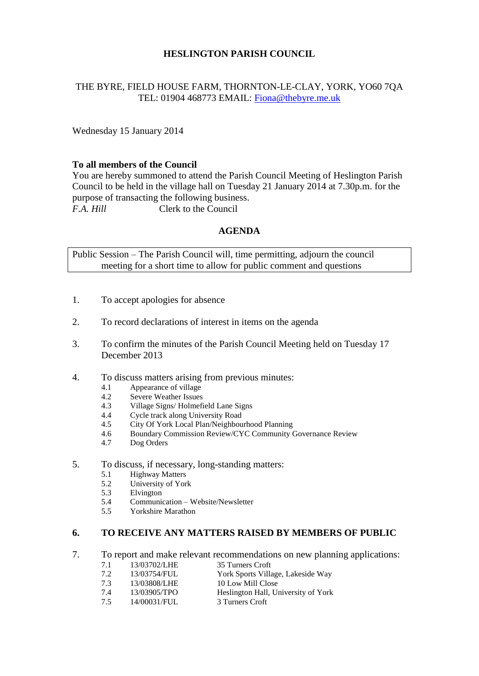# **HESLINGTON PARISH COUNCIL**

# THE BYRE, FIELD HOUSE FARM, THORNTON-LE-CLAY, YORK, YO60 7QA TEL: 01904 468773 EMAIL: [Fiona@thebyre.me.uk](mailto:Fiona@thebyre.me.uk)

Wednesday 15 January 2014

### **To all members of the Council**

You are hereby summoned to attend the Parish Council Meeting of Heslington Parish Council to be held in the village hall on Tuesday 21 January 2014 at 7.30p.m. for the purpose of transacting the following business. *F.A. Hill* Clerk to the Council

### **AGENDA**

Public Session – The Parish Council will, time permitting, adjourn the council meeting for a short time to allow for public comment and questions

- 1. To accept apologies for absence
- 2. To record declarations of interest in items on the agenda
- 3. To confirm the minutes of the Parish Council Meeting held on Tuesday 17 December 2013
- 4. To discuss matters arising from previous minutes:
	- 4.1 Appearance of village
	- 4.2 Severe Weather Issues
	- 4.3 Village Signs/ Holmefield Lane Signs
	- 4.4 Cycle track along University Road
	- 4.5 City Of York Local Plan/Neighbourhood Planning
	- 4.6 Boundary Commission Review/CYC Community Governance Review
	- 4.7 Dog Orders
- 5. To discuss, if necessary, long-standing matters:
	- 5.1 Highway Matters
	- 5.2 University of York
	- 5.3 Elvington
	- 5.4 Communication Website/Newsletter
	- 5.5 Yorkshire Marathon

### **6. TO RECEIVE ANY MATTERS RAISED BY MEMBERS OF PUBLIC**

- 7. To report and make relevant recommendations on new planning applications:
	- 7.1 13/03702/LHE 35 Turners Croft
	- 7.2 13/03754/FUL York Sports Village, Lakeside Way
	- 7.3 13/03808/LHE 10 Low Mill Close
	- 7.4 13/03905/TPO Heslington Hall, University of York
	- 7.5 14/00031/FUL 3 Turners Croft